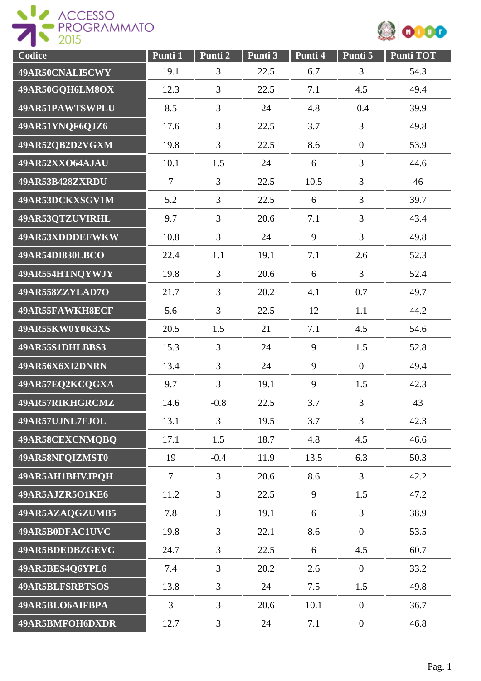



| Codice                 | Punti 1        | Punti 2        | Punti 3 | Punti 4 | Punti 5          | <b>Punti TOT</b> |
|------------------------|----------------|----------------|---------|---------|------------------|------------------|
| 49AR50CNALI5CWY        | 19.1           | 3              | 22.5    | 6.7     | 3                | 54.3             |
| 49AR50GQH6LM8OX        | 12.3           | 3              | 22.5    | 7.1     | 4.5              | 49.4             |
| 49AR51PAWTSWPLU        | 8.5            | 3              | 24      | 4.8     | $-0.4$           | 39.9             |
| 49AR51YNQF6QJZ6        | 17.6           | 3              | 22.5    | 3.7     | 3                | 49.8             |
| 49AR52QB2D2VGXM        | 19.8           | $\overline{3}$ | 22.5    | 8.6     | $\boldsymbol{0}$ | 53.9             |
| 49AR52XXO64AJAU        | 10.1           | 1.5            | 24      | 6       | 3                | 44.6             |
| 49AR53B428ZXRDU        | $\overline{7}$ | 3              | 22.5    | 10.5    | 3                | 46               |
| 49AR53DCKXSGV1M        | 5.2            | 3              | 22.5    | 6       | 3                | 39.7             |
| 49AR53QTZUVIRHL        | 9.7            | 3              | 20.6    | 7.1     | 3                | 43.4             |
| 49AR53XDDDEFWKW        | 10.8           | $\overline{3}$ | 24      | 9       | 3                | 49.8             |
| 49AR54DI830LBCO        | 22.4           | 1.1            | 19.1    | 7.1     | 2.6              | 52.3             |
| 49AR554HTNQYWJY        | 19.8           | 3              | 20.6    | 6       | 3                | 52.4             |
| 49AR558ZZYLAD7O        | 21.7           | $\overline{3}$ | 20.2    | 4.1     | 0.7              | 49.7             |
| 49AR55FAWKH8ECF        | 5.6            | $\overline{3}$ | 22.5    | 12      | 1.1              | 44.2             |
| 49AR55KW0Y0K3XS        | 20.5           | 1.5            | 21      | 7.1     | 4.5              | 54.6             |
| 49AR55S1DHLBBS3        | 15.3           | 3              | 24      | 9       | 1.5              | 52.8             |
| 49AR56X6XI2DNRN        | 13.4           | 3              | 24      | 9       | $\overline{0}$   | 49.4             |
| 49AR57EQ2KCQGXA        | 9.7            | $\overline{3}$ | 19.1    | 9       | 1.5              | 42.3             |
| 49AR57RIKHGRCMZ        | 14.6           | $-0.8$         | 22.5    | 3.7     | 3                | 43               |
| 49AR57UJNL7FJOL        | 13.1           | $\overline{3}$ | 19.5    | 3.7     | 3                | 42.3             |
| 49AR58CEXCNMQBQ        | 17.1           | 1.5            | 18.7    | 4.8     | 4.5              | 46.6             |
| 49AR58NFQIZMST0        | 19             | $-0.4$         | 11.9    | 13.5    | 6.3              | 50.3             |
| 49AR5AH1BHVJPQH        | $\overline{7}$ | $\overline{3}$ | 20.6    | 8.6     | $\overline{3}$   | 42.2             |
| 49AR5AJZR5O1KE6        | 11.2           | $\overline{3}$ | 22.5    | 9       | 1.5              | 47.2             |
| 49AR5AZAQGZUMB5        | 7.8            | $\overline{3}$ | 19.1    | 6       | $\overline{3}$   | 38.9             |
| 49AR5B0DFAC1UVC        | 19.8           | 3              | 22.1    | 8.6     | $\overline{0}$   | 53.5             |
| 49AR5BDEDBZGEVC        | 24.7           | $\overline{3}$ | 22.5    | 6       | 4.5              | 60.7             |
| 49AR5BES4Q6YPL6        | 7.4            | $\overline{3}$ | 20.2    | 2.6     | $\boldsymbol{0}$ | 33.2             |
| <b>49AR5BLFSRBTSOS</b> | 13.8           | $\overline{3}$ | 24      | 7.5     | 1.5              | 49.8             |
| 49AR5BLO6AIFBPA        | $\overline{3}$ | $\overline{3}$ | 20.6    | 10.1    | $\boldsymbol{0}$ | 36.7             |
| 49AR5BMFOH6DXDR        | 12.7           | 3              | 24      | 7.1     | $\boldsymbol{0}$ | 46.8             |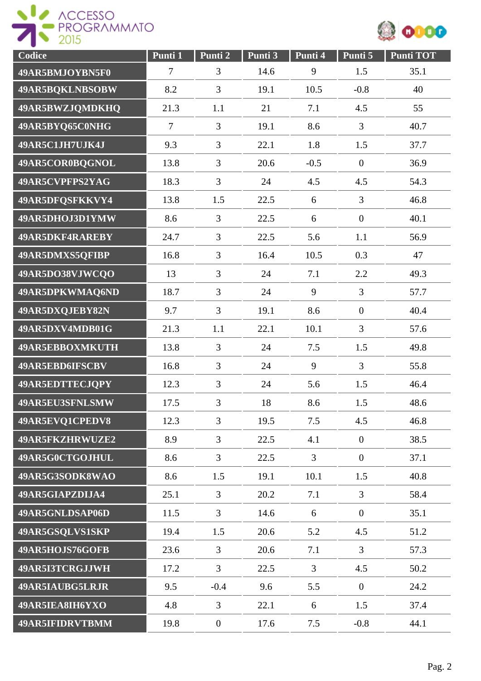

| Codice          | Punti 1        | Punti 2          | Punti 3 | Punti 4        | Punti 5          | Punti TOT |
|-----------------|----------------|------------------|---------|----------------|------------------|-----------|
| 49AR5BMJOYBN5F0 | $\overline{7}$ | 3                | 14.6    | 9              | 1.5              | 35.1      |
| 49AR5BQKLNBSOBW | 8.2            | 3                | 19.1    | 10.5           | $-0.8$           | 40        |
| 49AR5BWZJQMDKHQ | 21.3           | 1.1              | 21      | 7.1            | 4.5              | 55        |
| 49AR5BYQ65C0NHG | $\tau$         | $\overline{3}$   | 19.1    | 8.6            | 3                | 40.7      |
| 49AR5C1JH7UJK4J | 9.3            | $\overline{3}$   | 22.1    | 1.8            | 1.5              | 37.7      |
| 49AR5COR0BQGNOL | 13.8           | 3                | 20.6    | $-0.5$         | $\boldsymbol{0}$ | 36.9      |
| 49AR5CVPFPS2YAG | 18.3           | $\overline{3}$   | 24      | 4.5            | 4.5              | 54.3      |
| 49AR5DFQSFKKVY4 | 13.8           | 1.5              | 22.5    | 6              | 3                | 46.8      |
| 49AR5DHOJ3D1YMW | 8.6            | $\overline{3}$   | 22.5    | 6              | $\overline{0}$   | 40.1      |
| 49AR5DKF4RAREBY | 24.7           | $\overline{3}$   | 22.5    | 5.6            | 1.1              | 56.9      |
| 49AR5DMXS5QFIBP | 16.8           | 3                | 16.4    | 10.5           | 0.3              | 47        |
| 49AR5DO38VJWCQO | 13             | $\overline{3}$   | 24      | 7.1            | 2.2              | 49.3      |
| 49AR5DPKWMAQ6ND | 18.7           | $\overline{3}$   | 24      | 9              | 3                | 57.7      |
| 49AR5DXQJEBY82N | 9.7            | $\overline{3}$   | 19.1    | 8.6            | $\boldsymbol{0}$ | 40.4      |
| 49AR5DXV4MDB01G | 21.3           | 1.1              | 22.1    | 10.1           | 3                | 57.6      |
| 49AR5EBBOXMKUTH | 13.8           | 3                | 24      | 7.5            | 1.5              | 49.8      |
| 49AR5EBD6IFSCBV | 16.8           | $\overline{3}$   | 24      | 9              | $\overline{3}$   | 55.8      |
| 49AR5EDTTECJQPY | 12.3           | $\overline{3}$   | 24      | 5.6            | 1.5              | 46.4      |
| 49AR5EU3SFNLSMW | 17.5           | $\overline{3}$   | 18      | 8.6            | 1.5              | 48.6      |
| 49AR5EVQ1CPEDV8 | 12.3           | $\overline{3}$   | 19.5    | 7.5            | 4.5              | 46.8      |
| 49AR5FKZHRWUZE2 | 8.9            | $\overline{3}$   | 22.5    | 4.1            | $\boldsymbol{0}$ | 38.5      |
| 49AR5G0CTGOJHUL | 8.6            | $\overline{3}$   | 22.5    | $\overline{3}$ | $\mathbf{0}$     | 37.1      |
| 49AR5G3SODK8WAO | 8.6            | 1.5              | 19.1    | 10.1           | 1.5              | 40.8      |
| 49AR5GIAPZDIJA4 | 25.1           | $\overline{3}$   | 20.2    | 7.1            | $\overline{3}$   | 58.4      |
| 49AR5GNLDSAP06D | 11.5           | $\mathfrak{Z}$   | 14.6    | 6              | $\mathbf{0}$     | 35.1      |
| 49AR5GSQLVS1SKP | 19.4           | 1.5              | 20.6    | 5.2            | 4.5              | 51.2      |
| 49AR5HOJS76GOFB | 23.6           | $\overline{3}$   | 20.6    | 7.1            | $\overline{3}$   | 57.3      |
| 49AR5I3TCRGJJWH | 17.2           | $\overline{3}$   | 22.5    | $\overline{3}$ | 4.5              | 50.2      |
| 49AR5IAUBG5LRJR | 9.5            | $-0.4$           | 9.6     | 5.5            | $\overline{0}$   | 24.2      |
| 49AR5IEA8IH6YXO | 4.8            | $\overline{3}$   | 22.1    | 6              | 1.5              | 37.4      |
| 49AR5IFIDRVTBMM | 19.8           | $\boldsymbol{0}$ | 17.6    | 7.5            | $-0.8$           | 44.1      |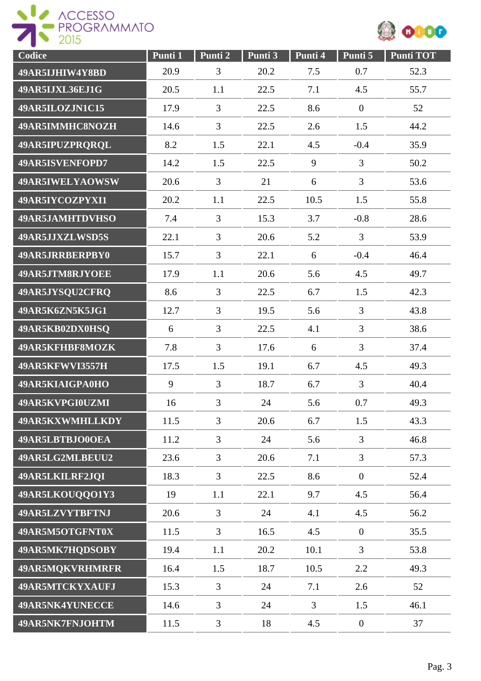



| Codice          | Punti 1 | Punti 2        | Punti 3 | Punti 4        | Punti 5          | Punti TOT |
|-----------------|---------|----------------|---------|----------------|------------------|-----------|
| 49AR5IJHIW4Y8BD | 20.9    | 3              | 20.2    | 7.5            | 0.7              | 52.3      |
| 49AR5IJXL36EJ1G | 20.5    | 1.1            | 22.5    | 7.1            | 4.5              | 55.7      |
| 49AR5ILOZJN1C15 | 17.9    | $\overline{3}$ | 22.5    | 8.6            | $\boldsymbol{0}$ | 52        |
| 49AR5IMMHC8NOZH | 14.6    | $\overline{3}$ | 22.5    | 2.6            | 1.5              | 44.2      |
| 49AR5IPUZPRQRQL | 8.2     | 1.5            | 22.1    | 4.5            | $-0.4$           | 35.9      |
| 49AR5ISVENFOPD7 | 14.2    | 1.5            | 22.5    | 9              | 3                | 50.2      |
| 49AR5IWELYAOWSW | 20.6    | 3              | 21      | 6              | 3                | 53.6      |
| 49AR5IYCOZPYXI1 | 20.2    | 1.1            | 22.5    | 10.5           | 1.5              | 55.8      |
| 49AR5JAMHTDVHSO | 7.4     | 3              | 15.3    | 3.7            | $-0.8$           | 28.6      |
| 49AR5JJXZLWSD5S | 22.1    | $\overline{3}$ | 20.6    | 5.2            | $\overline{3}$   | 53.9      |
| 49AR5JRRBERPBY0 | 15.7    | $\overline{3}$ | 22.1    | 6              | $-0.4$           | 46.4      |
| 49AR5JTM8RJYOEE | 17.9    | 1.1            | 20.6    | 5.6            | 4.5              | 49.7      |
| 49AR5JYSQU2CFRQ | 8.6     | $\overline{3}$ | 22.5    | 6.7            | 1.5              | 42.3      |
| 49AR5K6ZN5K5JG1 | 12.7    | $\overline{3}$ | 19.5    | 5.6            | $\overline{3}$   | 43.8      |
| 49AR5KB02DX0HSQ | 6       | $\overline{3}$ | 22.5    | 4.1            | 3                | 38.6      |
| 49AR5KFHBF8MOZK | 7.8     | $\overline{3}$ | 17.6    | 6              | 3                | 37.4      |
| 49AR5KFWVI3557H | 17.5    | 1.5            | 19.1    | 6.7            | 4.5              | 49.3      |
| 49AR5KIAIGPA0HO | 9       | $\overline{3}$ | 18.7    | 6.7            | 3                | 40.4      |
| 49AR5KVPGI0UZMI | 16      | 3              | 24      | 5.6            | 0.7              | 49.3      |
| 49AR5KXWMHLLKDY | 11.5    | 3              | 20.6    | 6.7            | 1.5              | 43.3      |
| 49AR5LBTBJO0OEA | 11.2    | 3              | 24      | 5.6            | 3                | 46.8      |
| 49AR5LG2MLBEUU2 | 23.6    | $\overline{3}$ | 20.6    | 7.1            | 3                | 57.3      |
| 49AR5LKILRF2JQI | 18.3    | $\overline{3}$ | 22.5    | 8.6            | $\boldsymbol{0}$ | 52.4      |
| 49AR5LKOUQQO1Y3 | 19      | 1.1            | 22.1    | 9.7            | 4.5              | 56.4      |
| 49AR5LZVYTBFTNJ | 20.6    | $\overline{3}$ | 24      | 4.1            | 4.5              | 56.2      |
| 49AR5M5OTGFNT0X | 11.5    | $\overline{3}$ | 16.5    | 4.5            | $\overline{0}$   | 35.5      |
| 49AR5MK7HQDSOBY | 19.4    | 1.1            | 20.2    | 10.1           | $\overline{3}$   | 53.8      |
| 49AR5MQKVRHMRFR | 16.4    | 1.5            | 18.7    | 10.5           | 2.2              | 49.3      |
| 49AR5MTCKYXAUFJ | 15.3    | $\overline{3}$ | 24      | 7.1            | 2.6              | 52        |
| 49AR5NK4YUNECCE | 14.6    | $\overline{3}$ | 24      | $\overline{3}$ | 1.5              | 46.1      |
| 49AR5NK7FNJOHTM | 11.5    | 3              | 18      | 4.5            | $\boldsymbol{0}$ | 37        |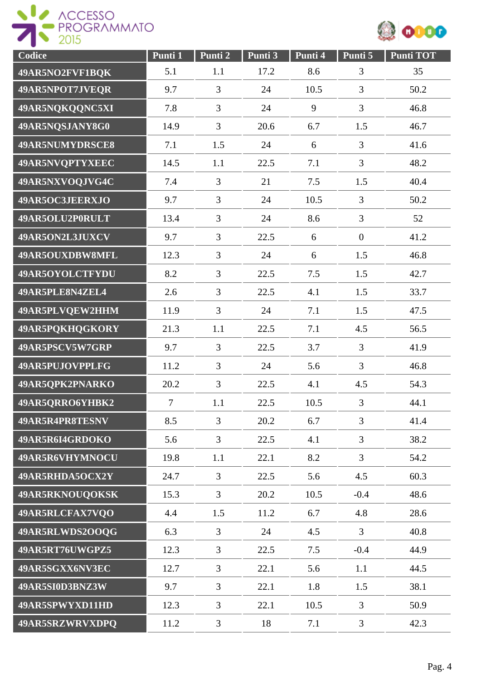



| Codice          | Punti 1        | Punti 2        | Punti 3 | Punti 4 | Punti 5          | <b>Punti TOT</b> |
|-----------------|----------------|----------------|---------|---------|------------------|------------------|
| 49AR5NO2FVF1BQK | 5.1            | 1.1            | 17.2    | 8.6     | 3                | 35               |
| 49AR5NPOT7JVEQR | 9.7            | 3              | 24      | 10.5    | 3                | 50.2             |
| 49AR5NQKQQNC5XI | 7.8            | 3              | 24      | 9       | 3                | 46.8             |
| 49AR5NQSJANY8G0 | 14.9           | $\overline{3}$ | 20.6    | 6.7     | 1.5              | 46.7             |
| 49AR5NUMYDRSCE8 | 7.1            | 1.5            | 24      | 6       | 3                | 41.6             |
| 49AR5NVQPTYXEEC | 14.5           | 1.1            | 22.5    | 7.1     | 3                | 48.2             |
| 49AR5NXVOQJVG4C | 7.4            | 3              | 21      | 7.5     | 1.5              | 40.4             |
| 49AR5OC3JEERXJO | 9.7            | 3              | 24      | 10.5    | 3                | 50.2             |
| 49AR5OLU2P0RULT | 13.4           | 3              | 24      | 8.6     | 3                | 52               |
| 49AR5ON2L3JUXCV | 9.7            | $\overline{3}$ | 22.5    | 6       | $\boldsymbol{0}$ | 41.2             |
| 49AR5OUXDBW8MFL | 12.3           | $\overline{3}$ | 24      | 6       | 1.5              | 46.8             |
| 49AR5OYOLCTFYDU | 8.2            | 3              | 22.5    | 7.5     | 1.5              | 42.7             |
| 49AR5PLE8N4ZEL4 | 2.6            | 3              | 22.5    | 4.1     | 1.5              | 33.7             |
| 49AR5PLVQEW2HHM | 11.9           | 3              | 24      | 7.1     | 1.5              | 47.5             |
| 49AR5PQKHQGKORY | 21.3           | 1.1            | 22.5    | 7.1     | 4.5              | 56.5             |
| 49AR5PSCV5W7GRP | 9.7            | $\overline{3}$ | 22.5    | 3.7     | 3                | 41.9             |
| 49AR5PUJOVPPLFG | 11.2           | 3              | 24      | 5.6     | 3                | 46.8             |
| 49AR5QPK2PNARKO | 20.2           | 3              | 22.5    | 4.1     | 4.5              | 54.3             |
| 49AR5QRRO6YHBK2 | $\overline{7}$ | 1.1            | 22.5    | 10.5    | 3                | 44.1             |
| 49AR5R4PR8TESNV | 8.5            | $\overline{3}$ | 20.2    | 6.7     | 3                | 41.4             |
| 49AR5R6I4GRDOKO | 5.6            | $\overline{3}$ | 22.5    | 4.1     | 3                | 38.2             |
| 49AR5R6VHYMNOCU | 19.8           | 1.1            | 22.1    | 8.2     | 3                | 54.2             |
| 49AR5RHDA5OCX2Y | 24.7           | $\overline{3}$ | 22.5    | 5.6     | 4.5              | 60.3             |
| 49AR5RKNOUQOKSK | 15.3           | $\overline{3}$ | 20.2    | 10.5    | $-0.4$           | 48.6             |
| 49AR5RLCFAX7VQO | 4.4            | 1.5            | 11.2    | 6.7     | 4.8              | 28.6             |
| 49AR5RLWDS2OOQG | 6.3            | $\overline{3}$ | 24      | 4.5     | $\overline{3}$   | 40.8             |
| 49AR5RT76UWGPZ5 | 12.3           | 3              | 22.5    | 7.5     | $-0.4$           | 44.9             |
| 49AR5SGXX6NV3EC | 12.7           | $\overline{3}$ | 22.1    | 5.6     | 1.1              | 44.5             |
| 49AR5SI0D3BNZ3W | 9.7            | $\overline{3}$ | 22.1    | 1.8     | 1.5              | 38.1             |
| 49AR5SPWYXD11HD | 12.3           | 3              | 22.1    | 10.5    | $\overline{3}$   | 50.9             |
| 49AR5SRZWRVXDPQ | 11.2           | $\mathfrak{Z}$ | 18      | 7.1     | 3                | 42.3             |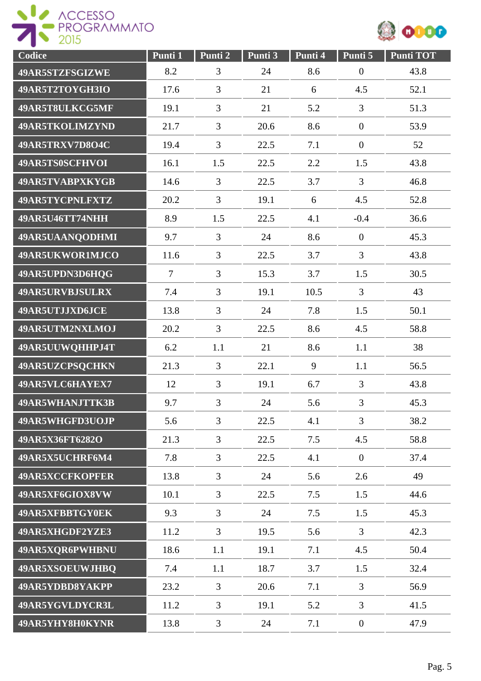



| Codice                 | Punti 1        | Punti 2        | Punti 3 | Punti 4 | Punti 5          | <b>Punti TOT</b> |
|------------------------|----------------|----------------|---------|---------|------------------|------------------|
| 49AR5STZFSGIZWE        | 8.2            | 3              | 24      | 8.6     | $\boldsymbol{0}$ | 43.8             |
| 49AR5T2TOYGH3IO        | 17.6           | 3              | 21      | 6       | 4.5              | 52.1             |
| 49AR5T8ULKCG5MF        | 19.1           | $\overline{3}$ | 21      | 5.2     | 3                | 51.3             |
| 49AR5TKOLIMZYND        | 21.7           | 3              | 20.6    | 8.6     | $\overline{0}$   | 53.9             |
| 49AR5TRXV7D8O4C        | 19.4           | $\overline{3}$ | 22.5    | 7.1     | $\boldsymbol{0}$ | 52               |
| 49AR5TS0SCFHVOI        | 16.1           | 1.5            | 22.5    | 2.2     | 1.5              | 43.8             |
| 49AR5TVABPXKYGB        | 14.6           | 3              | 22.5    | 3.7     | 3                | 46.8             |
| 49AR5TYCPNLFXTZ        | 20.2           | $\overline{3}$ | 19.1    | 6       | 4.5              | 52.8             |
| 49AR5U46TT74NHH        | 8.9            | 1.5            | 22.5    | 4.1     | $-0.4$           | 36.6             |
| 49AR5UAANQODHMI        | 9.7            | $\overline{3}$ | 24      | 8.6     | $\boldsymbol{0}$ | 45.3             |
| 49AR5UKWOR1MJCO        | 11.6           | 3              | 22.5    | 3.7     | 3                | 43.8             |
| 49AR5UPDN3D6HQG        | $\overline{7}$ | 3              | 15.3    | 3.7     | 1.5              | 30.5             |
| <b>49AR5URVBJSULRX</b> | 7.4            | 3              | 19.1    | 10.5    | 3                | 43               |
| 49AR5UTJJXD6JCE        | 13.8           | 3              | 24      | 7.8     | 1.5              | 50.1             |
| 49AR5UTM2NXLMOJ        | 20.2           | $\overline{3}$ | 22.5    | 8.6     | 4.5              | 58.8             |
| 49AR5UUWQHHPJ4T        | 6.2            | 1.1            | 21      | 8.6     | 1.1              | 38               |
| 49AR5UZCPSQCHKN        | 21.3           | 3              | 22.1    | 9       | 1.1              | 56.5             |
| 49AR5VLC6HAYEX7        | 12             | $\overline{3}$ | 19.1    | 6.7     | 3                | 43.8             |
| 49AR5WHANJTTK3B        | 9.7            | 3              | 24      | 5.6     | 3                | 45.3             |
| 49AR5WHGFD3UOJP        | 5.6            | 3              | 22.5    | 4.1     | $\overline{3}$   | 38.2             |
| 49AR5X36FT6282O        | 21.3           | 3              | 22.5    | 7.5     | 4.5              | 58.8             |
| 49AR5X5UCHRF6M4        | 7.8            | $\overline{3}$ | 22.5    | 4.1     | $\overline{0}$   | 37.4             |
| <b>49AR5XCCFKOPFER</b> | 13.8           | $\overline{3}$ | 24      | 5.6     | 2.6              | 49               |
| 49AR5XF6GIOX8VW        | 10.1           | $\overline{3}$ | 22.5    | 7.5     | 1.5              | 44.6             |
| 49AR5XFBBTGY0EK        | 9.3            | $\overline{3}$ | 24      | 7.5     | 1.5              | 45.3             |
| 49AR5XHGDF2YZE3        | 11.2           | $\overline{3}$ | 19.5    | 5.6     | $\overline{3}$   | 42.3             |
| 49AR5XQR6PWHBNU        | 18.6           | 1.1            | 19.1    | 7.1     | 4.5              | 50.4             |
| 49AR5XSOEUWJHBQ        | 7.4            | 1.1            | 18.7    | 3.7     | 1.5              | 32.4             |
| 49AR5YDBD8YAKPP        | 23.2           | $\overline{3}$ | 20.6    | 7.1     | $\overline{3}$   | 56.9             |
| 49AR5YGVLDYCR3L        | 11.2           | $\overline{3}$ | 19.1    | 5.2     | 3                | 41.5             |
| 49AR5YHY8H0KYNR        | 13.8           | $\mathfrak{Z}$ | 24      | 7.1     | $\boldsymbol{0}$ | 47.9             |